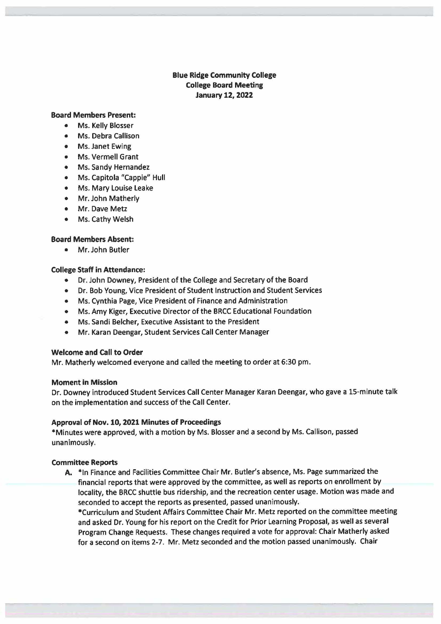# **Blue Ridge Community College College Board Meeting January 12, 2022**

#### **Board Members Present:**

- Ms. Kelly Blosser
- Ms. Debra Callison
- Ms. Janet Ewing
- Ms. Vermell Grant
- Ms. Sandy Hernandez
- Ms. Capitola "Cappie" Hull
- Ms. Mary Louise Leake
- Mr. John Matherly
- Mr. Dave Metz
- Ms. Cathy Welsh

# **Board Members Absent:**

• Mr. John Butler

# **College Staff** in **Attendance:**

- Dr. John Downey, President of the College and Secretary of the Board
- Dr. Bob Young, Vice President of Student Instruction and Student Services
- Ms. Cynthia Page, Vice President of Finance and Administration
- Ms. Amy Kiger, Executive Director of the BRCC Educational Foundation
- Ms. Sandi Belcher, Executive Assistant to the President
- Mr. Karan Deengar, Student Services Call Center Manager

# **Welcome and Call to Order**

Mr. Matherly welcomed everyone and called the meeting to order at 6:30 pm.

# **Moment** in **Mission**

Dr. Downey introduced Student Services Call Center Manager Karan Deengar, who gave a 15-minute talk on the implementation and success of the Call Center.

# **Approval of Nov. 10, 2021 Minutes of Proceedings**

\*Minutes were approved, with a motion by Ms. Blosser and a second by Ms. Callison, passed unanimously.

# **Committee Reports**

**A.** \*In Finance and Facilities Committee Chair Mr. Butler's absence, Ms. Page summarized the financial reports that were approved by the committee, as well as reports on enrollment by locality, the BRCC shuttle bus ridership, and the recreation center usage. Motion was made and seconded to accept the reports as presented, passed unanimously.

•curriculum and Student Affairs Committee Chair Mr. Metz reported on the committee meeting and asked Dr. Young for his report on the Credit for Prior Learning Proposal, as well as several Program Change Requests. These changes required a vote for approval: Chair Matherly asked for a second on items 2-7. Mr. Metz seconded and the motion passed unanimously. Chair